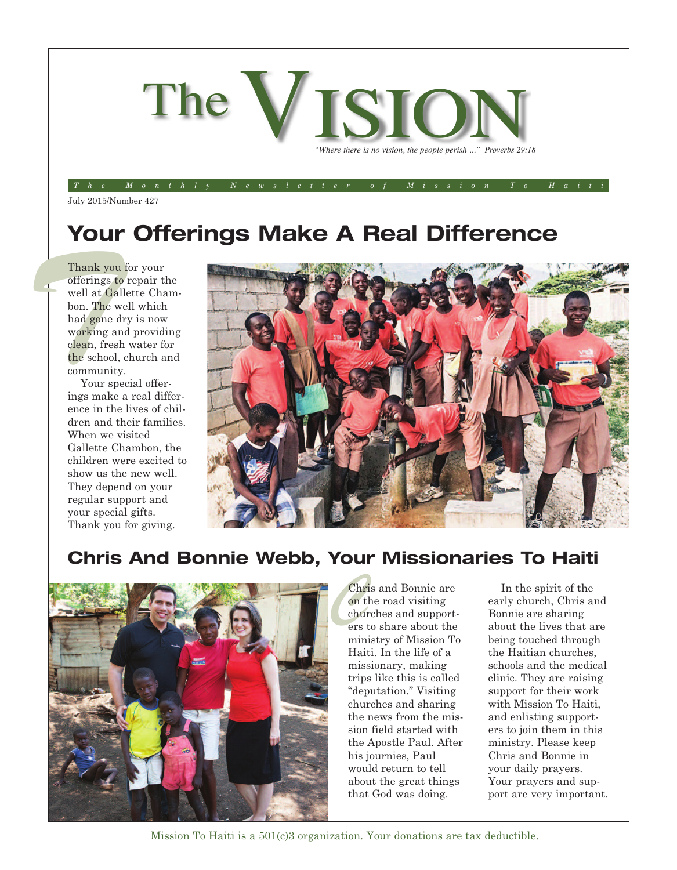

#### The Monthly Newsletter of Mission To Haiti

July 2015/Number 427

## **Your Offerings Make A Real Difference**

Thank you<br>
offerings t<br>
well at Ga bon. The v<br>
had gone<br>
working a<br>
clean, freshed school<br>
communit<br>
Your sp<br>
ings make Thank you for your offerings to repair the well at Gallette Chambon. The well which had gone dry is now working and providing clean, fresh water for the school, church and community.

Your special offerings make a real difference in the lives of children and their families. When we visited Gallette Chambon, the children were excited to show us the new well. They depend on your regular support and your special gifts. Thank you for giving.



#### **Chris And Bonnie Webb, Your Missionaries To Haiti**



Chr<br>
on t<br>
chui<br>
ers Chris and Bonnie are on the road visiting churches and supporters to share about the ministry of Mission To Haiti. In the life of a missionary, making trips like this is called "deputation." Visiting churches and sharing the news from the mission field started with the Apostle Paul. After his journies, Paul would return to tell about the great things that God was doing.

In the spirit of the early church, Chris and Bonnie are sharing about the lives that are being touched through the Haitian churches, schools and the medical clinic. They are raising support for their work with Mission To Haiti, and enlisting supporters to join them in this ministry. Please keep Chris and Bonnie in your daily prayers. Your prayers and support are very important.

Mission To Haiti is a 501(c)3 organization. Your donations are tax deductible.